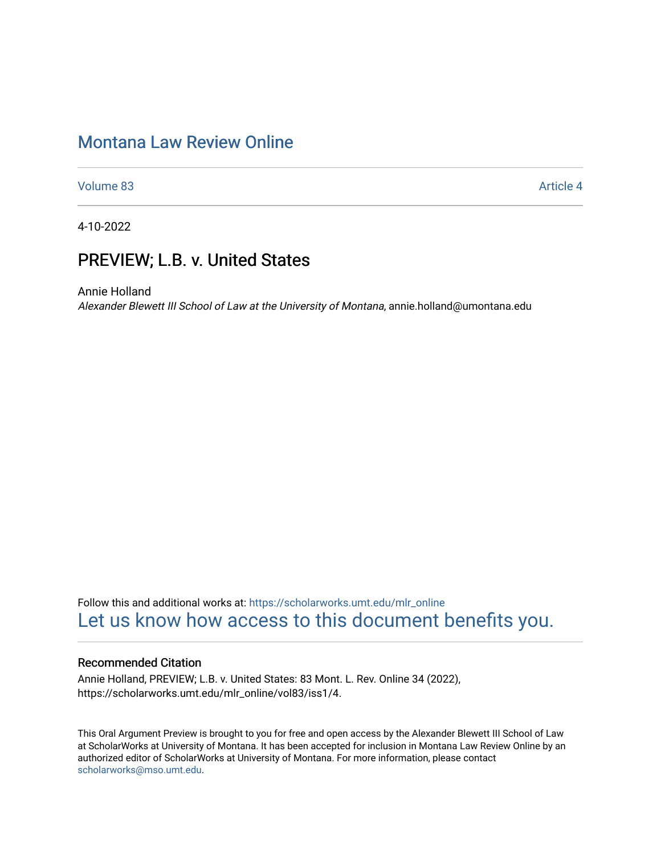# [Montana Law Review Online](https://scholarworks.umt.edu/mlr_online)

[Volume 83](https://scholarworks.umt.edu/mlr_online/vol83) [Article 4](https://scholarworks.umt.edu/mlr_online/vol83/iss1/4) 

4-10-2022

# PREVIEW; L.B. v. United States

Annie Holland

Alexander Blewett III School of Law at the University of Montana, annie.holland@umontana.edu

Follow this and additional works at: [https://scholarworks.umt.edu/mlr\\_online](https://scholarworks.umt.edu/mlr_online?utm_source=scholarworks.umt.edu%2Fmlr_online%2Fvol83%2Fiss1%2F4&utm_medium=PDF&utm_campaign=PDFCoverPages) [Let us know how access to this document benefits you.](https://goo.gl/forms/s2rGfXOLzz71qgsB2) 

## Recommended Citation

Annie Holland, PREVIEW; L.B. v. United States: 83 Mont. L. Rev. Online 34 (2022), https://scholarworks.umt.edu/mlr\_online/vol83/iss1/4.

This Oral Argument Preview is brought to you for free and open access by the Alexander Blewett III School of Law at ScholarWorks at University of Montana. It has been accepted for inclusion in Montana Law Review Online by an authorized editor of ScholarWorks at University of Montana. For more information, please contact [scholarworks@mso.umt.edu.](mailto:scholarworks@mso.umt.edu)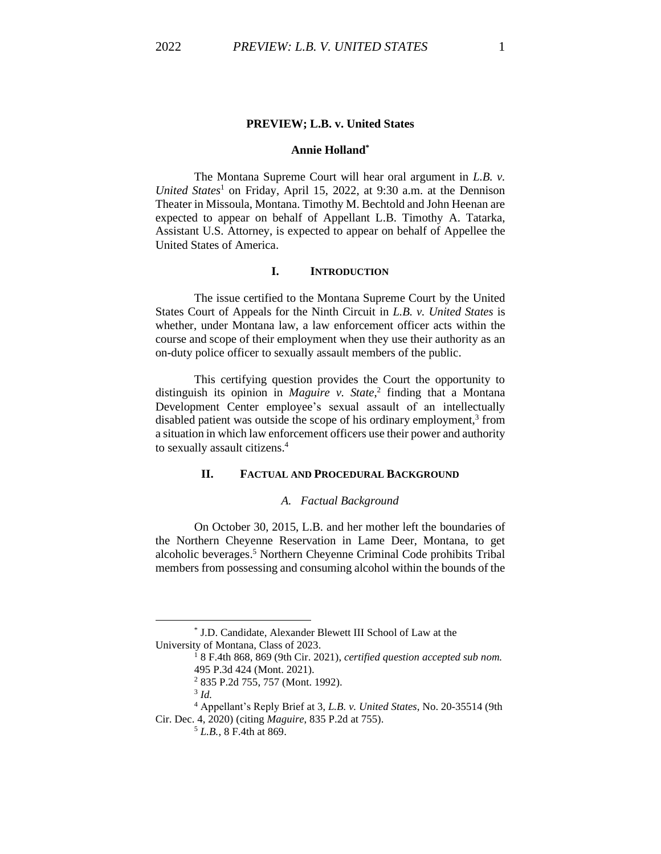#### **PREVIEW; L.B. v. United States**

# **Annie Holland \***

The Montana Supreme Court will hear oral argument in *L.B. v. United States*<sup>1</sup> on Friday, April 15, 2022, at 9:30 a.m. at the Dennison Theater in Missoula, Montana. Timothy M. Bechtold and John Heenan are expected to appear on behalf of Appellant L.B. Timothy A. Tatarka, Assistant U.S. Attorney, is expected to appear on behalf of Appellee the United States of America.

### **I. INTRODUCTION**

The issue certified to the Montana Supreme Court by the United States Court of Appeals for the Ninth Circuit in *L.B. v. United States* is whether, under Montana law, a law enforcement officer acts within the course and scope of their employment when they use their authority as an on-duty police officer to sexually assault members of the public.

This certifying question provides the Court the opportunity to distinguish its opinion in *Maguire v. State*, 2 finding that a Montana Development Center employee's sexual assault of an intellectually disabled patient was outside the scope of his ordinary employment,<sup>3</sup> from a situation in which law enforcement officers use their power and authority to sexually assault citizens. 4

# **II. FACTUAL AND PROCEDURAL BACKGROUND**

#### *A. Factual Background*

On October 30, 2015, L.B. and her mother left the boundaries of the Northern Cheyenne Reservation in Lame Deer, Montana, to get alcoholic beverages. <sup>5</sup> Northern Cheyenne Criminal Code prohibits Tribal members from possessing and consuming alcohol within the bounds of the

<sup>\*</sup> J.D. Candidate, Alexander Blewett III School of Law at the University of Montana, Class of 2023.

<sup>1</sup> 8 F.4th 868, 869 (9th Cir. 2021), *certified question accepted sub nom.* 495 P.3d 424 (Mont. 2021).

<sup>2</sup> 835 P.2d 755, 757 (Mont. 1992).

<sup>3</sup> *Id.*

<sup>4</sup> Appellant's Reply Brief at 3, *L.B. v. United States*, No. 20-35514 (9th Cir. Dec. 4, 2020) (citing *Maguire*, 835 P.2d at 755).

<sup>5</sup> *L.B.*, 8 F.4th at 869.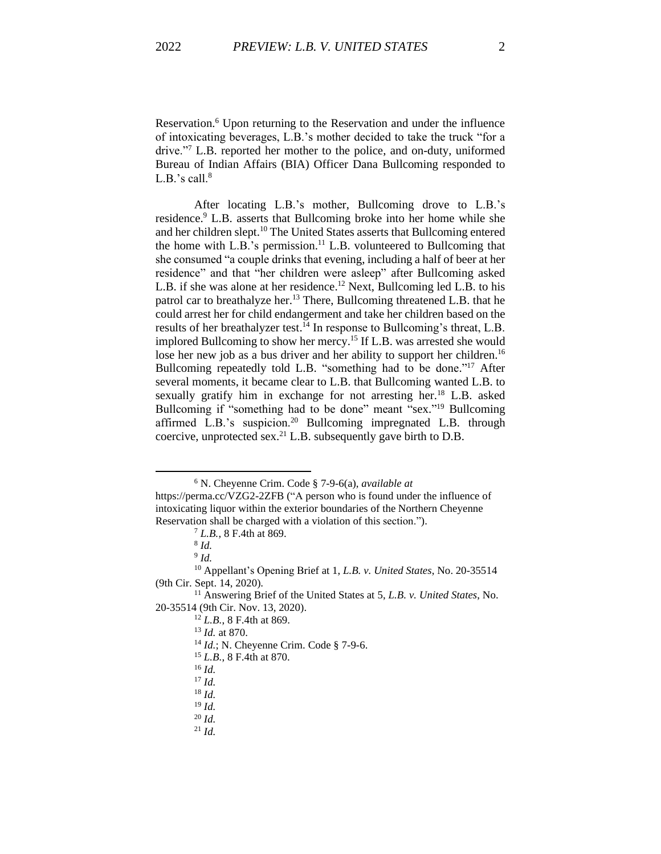Reservation.<sup>6</sup> Upon returning to the Reservation and under the influence of intoxicating beverages, L.B.'s mother decided to take the truck "for a drive."<sup>7</sup> L.B. reported her mother to the police, and on-duty, uniformed Bureau of Indian Affairs (BIA) Officer Dana Bullcoming responded to L.B.'s call. $8$ 

After locating L.B.'s mother, Bullcoming drove to L.B.'s residence.<sup>9</sup> L.B. asserts that Bullcoming broke into her home while she and her children slept.<sup>10</sup> The United States asserts that Bullcoming entered the home with L.B.'s permission.<sup>11</sup> L.B. volunteered to Bullcoming that she consumed "a couple drinks that evening, including a half of beer at her residence" and that "her children were asleep" after Bullcoming asked L.B. if she was alone at her residence. <sup>12</sup> Next, Bullcoming led L.B. to his patrol car to breathalyze her.<sup>13</sup> There, Bullcoming threatened L.B. that he could arrest her for child endangerment and take her children based on the results of her breathalyzer test.<sup>14</sup> In response to Bullcoming's threat, L.B. implored Bullcoming to show her mercy. <sup>15</sup> If L.B. was arrested she would lose her new job as a bus driver and her ability to support her children.<sup>16</sup> Bullcoming repeatedly told L.B. "something had to be done."<sup>17</sup> After several moments, it became clear to L.B. that Bullcoming wanted L.B. to sexually gratify him in exchange for not arresting her.<sup>18</sup> L.B. asked Bullcoming if "something had to be done" meant "sex."<sup>19</sup> Bullcoming affirmed L.B.'s suspicion.<sup>20</sup> Bullcoming impregnated L.B. through coercive, unprotected sex.<sup>21</sup> L.B. subsequently gave birth to D.B.

<sup>6</sup> N. Cheyenne Crim. Code § 7-9-6(a), *available at*

https://perma.cc/VZG2-2ZFB ("A person who is found under the influence of intoxicating liquor within the exterior boundaries of the Northern Cheyenne Reservation shall be charged with a violation of this section.").

<sup>7</sup> *L.B.*, 8 F.4th at 869.

<sup>8</sup> *Id.*

<sup>9</sup> *Id.*

<sup>10</sup> Appellant's Opening Brief at 1, *L.B. v. United States*, No. 20-35514 (9th Cir. Sept. 14, 2020).

<sup>11</sup> Answering Brief of the United States at 5, *L.B. v. United States*, No. 20-35514 (9th Cir. Nov. 13, 2020).

<sup>12</sup> *L.B.*, 8 F.4th at 869.

<sup>13</sup> *Id.* at 870.

<sup>14</sup> *Id.*; N. Cheyenne Crim. Code § 7-9-6.

<sup>15</sup> *L.B.*, 8 F.4th at 870.

<sup>16</sup> *Id.*

<sup>17</sup> *Id.*

 $18$  *Id.* 

 $19$  *Id.* 

<sup>20</sup> *Id.*

<sup>21</sup> *Id.*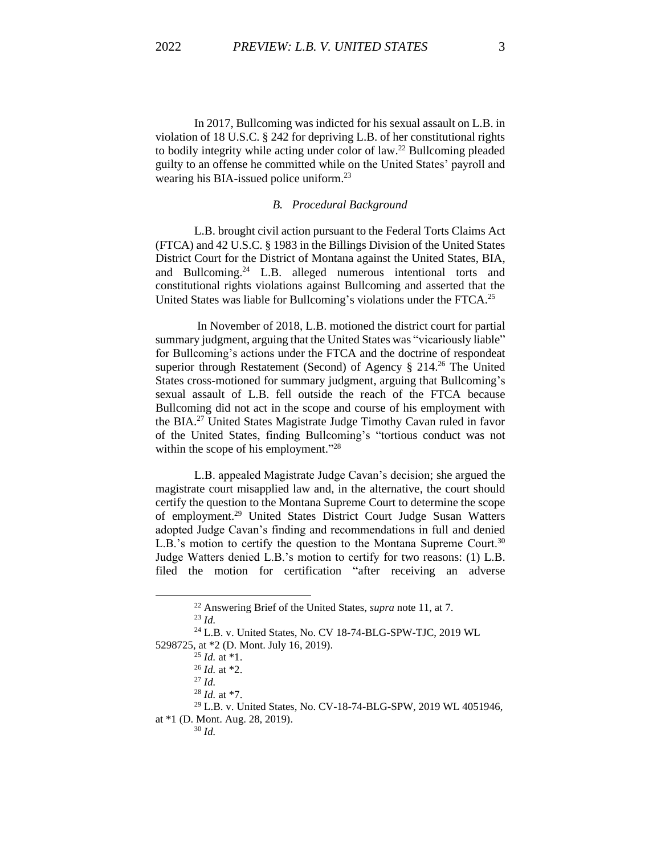In 2017, Bullcoming was indicted for his sexual assault on L.B. in violation of 18 U.S.C. § 242 for depriving L.B. of her constitutional rights to bodily integrity while acting under color of  $law<sup>22</sup>$  Bullcoming pleaded guilty to an offense he committed while on the United States' payroll and wearing his BIA-issued police uniform.<sup>23</sup>

#### *B. Procedural Background*

L.B. brought civil action pursuant to the Federal Torts Claims Act (FTCA) and 42 U.S.C. § 1983 in the Billings Division of the United States District Court for the District of Montana against the United States, BIA, and Bullcoming. <sup>24</sup> L.B. alleged numerous intentional torts and constitutional rights violations against Bullcoming and asserted that the United States was liable for Bullcoming's violations under the FTCA.<sup>25</sup>

In November of 2018, L.B. motioned the district court for partial summary judgment, arguing that the United States was "vicariously liable" for Bullcoming's actions under the FTCA and the doctrine of respondeat superior through Restatement (Second) of Agency § 214. <sup>26</sup> The United States cross-motioned for summary judgment, arguing that Bullcoming's sexual assault of L.B. fell outside the reach of the FTCA because Bullcoming did not act in the scope and course of his employment with the BIA.<sup>27</sup> United States Magistrate Judge Timothy Cavan ruled in favor of the United States, finding Bullcoming's "tortious conduct was not within the scope of his employment."<sup>28</sup>

L.B. appealed Magistrate Judge Cavan's decision; she argued the magistrate court misapplied law and, in the alternative, the court should certify the question to the Montana Supreme Court to determine the scope of employment. <sup>29</sup> United States District Court Judge Susan Watters adopted Judge Cavan's finding and recommendations in full and denied L.B.'s motion to certify the question to the Montana Supreme Court.<sup>30</sup> Judge Watters denied L.B.'s motion to certify for two reasons: (1) L.B. filed the motion for certification "after receiving an adverse

<sup>22</sup> Answering Brief of the United States, *supra* note 11, at 7.

<sup>23</sup> *Id.*

<sup>24</sup> L.B. v. United States, No. CV 18-74-BLG-SPW-TJC, 2019 WL 5298725, at \*2 (D. Mont. July 16, 2019).

<sup>25</sup> *Id.* at \*1.

<sup>26</sup> *Id.* at \*2.

<sup>27</sup> *Id.*

<sup>28</sup> *Id.* at \*7.

<sup>29</sup> L.B. v. United States, No. CV-18-74-BLG-SPW, 2019 WL 4051946,

at \*1 (D. Mont. Aug. 28, 2019).

<sup>30</sup> *Id.*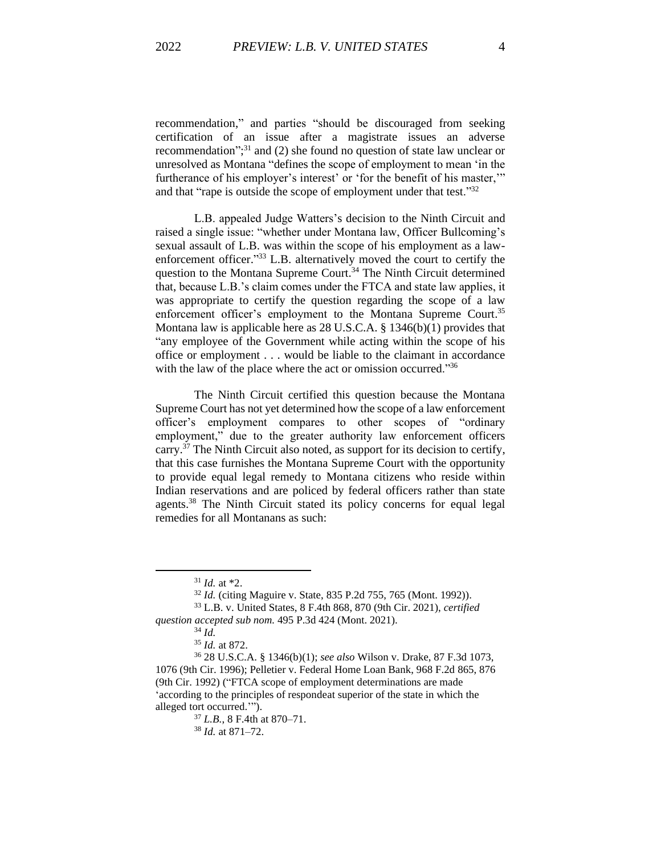recommendation," and parties "should be discouraged from seeking certification of an issue after a magistrate issues an adverse recommendation";<sup>31</sup> and (2) she found no question of state law unclear or unresolved as Montana "defines the scope of employment to mean 'in the furtherance of his employer's interest' or 'for the benefit of his master,'" and that "rape is outside the scope of employment under that test."<sup>32</sup>

L.B. appealed Judge Watters's decision to the Ninth Circuit and raised a single issue: "whether under Montana law, Officer Bullcoming's sexual assault of L.B. was within the scope of his employment as a lawenforcement officer."<sup>33</sup> L.B. alternatively moved the court to certify the question to the Montana Supreme Court.<sup>34</sup> The Ninth Circuit determined that, because L.B.'s claim comes under the FTCA and state law applies, it was appropriate to certify the question regarding the scope of a law enforcement officer's employment to the Montana Supreme Court.<sup>35</sup> Montana law is applicable here as 28 U.S.C.A. § 1346(b)(1) provides that "any employee of the Government while acting within the scope of his office or employment . . . would be liable to the claimant in accordance with the law of the place where the act or omission occurred."<sup>36</sup>

The Ninth Circuit certified this question because the Montana Supreme Court has not yet determined how the scope of a law enforcement officer's employment compares to other scopes of "ordinary employment," due to the greater authority law enforcement officers carry.<sup>37</sup> The Ninth Circuit also noted, as support for its decision to certify, that this case furnishes the Montana Supreme Court with the opportunity to provide equal legal remedy to Montana citizens who reside within Indian reservations and are policed by federal officers rather than state agents.<sup>38</sup> The Ninth Circuit stated its policy concerns for equal legal remedies for all Montanans as such:

<sup>31</sup> *Id.* at \*2.

<sup>32</sup> *Id.* (citing Maguire v. State, 835 P.2d 755, 765 (Mont. 1992)). <sup>33</sup> L.B. v. United States, 8 F.4th 868, 870 (9th Cir. 2021), *certified*

*question accepted sub nom.* 495 P.3d 424 (Mont. 2021).

<sup>34</sup> *Id.*

<sup>35</sup> *Id.* at 872.

<sup>36</sup> 28 U.S.C.A. § 1346(b)(1); *see also* Wilson v. Drake, 87 F.3d 1073, 1076 (9th Cir. 1996); Pelletier v. Federal Home Loan Bank, 968 F.2d 865, 876 (9th Cir. 1992) ("FTCA scope of employment determinations are made 'according to the principles of respondeat superior of the state in which the alleged tort occurred.'").

<sup>37</sup> *L.B.*, 8 F.4th at 870–71.

<sup>38</sup> *Id.* at 871–72.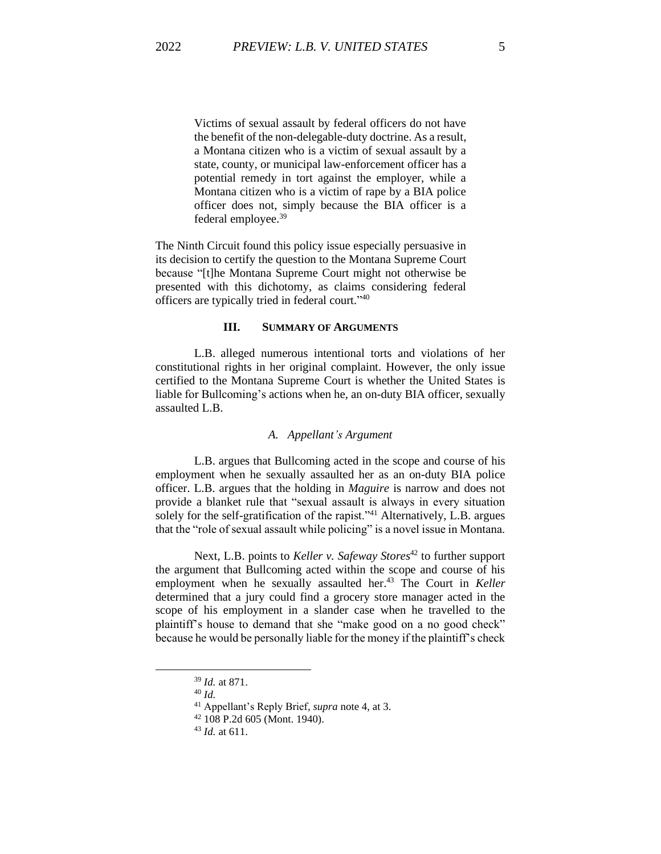Victims of sexual assault by federal officers do not have the benefit of the non-delegable-duty doctrine. As a result, a Montana citizen who is a victim of sexual assault by a state, county, or municipal law-enforcement officer has a potential remedy in tort against the employer, while a Montana citizen who is a victim of rape by a BIA police officer does not, simply because the BIA officer is a federal employee.<sup>39</sup>

The Ninth Circuit found this policy issue especially persuasive in its decision to certify the question to the Montana Supreme Court because "[t]he Montana Supreme Court might not otherwise be presented with this dichotomy, as claims considering federal officers are typically tried in federal court."40

## **III. SUMMARY OF ARGUMENTS**

L.B. alleged numerous intentional torts and violations of her constitutional rights in her original complaint. However, the only issue certified to the Montana Supreme Court is whether the United States is liable for Bullcoming's actions when he, an on-duty BIA officer, sexually assaulted L.B.

## *A. Appellant's Argument*

L.B. argues that Bullcoming acted in the scope and course of his employment when he sexually assaulted her as an on-duty BIA police officer. L.B. argues that the holding in *Maguire* is narrow and does not provide a blanket rule that "sexual assault is always in every situation solely for the self-gratification of the rapist."<sup>41</sup> Alternatively, L.B. argues that the "role of sexual assault while policing" is a novel issue in Montana.

Next, L.B. points to *Keller v. Safeway Stores*<sup>42</sup> to further support the argument that Bullcoming acted within the scope and course of his employment when he sexually assaulted her.<sup>43</sup> The Court in *Keller* determined that a jury could find a grocery store manager acted in the scope of his employment in a slander case when he travelled to the plaintiff's house to demand that she "make good on a no good check" because he would be personally liable for the money if the plaintiff's check

<sup>39</sup> *Id.* at 871.

<sup>40</sup> *Id.* 

<sup>41</sup> Appellant's Reply Brief, *supra* note 4, at 3.

<sup>42</sup> 108 P.2d 605 (Mont. 1940).

<sup>43</sup> *Id.* at 611.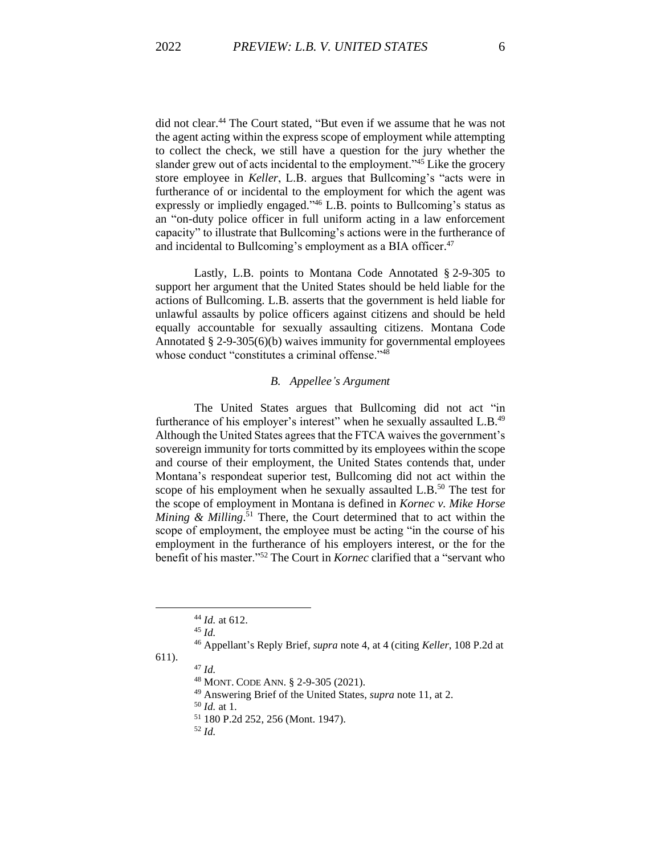did not clear.<sup>44</sup> The Court stated, "But even if we assume that he was not the agent acting within the express scope of employment while attempting to collect the check, we still have a question for the jury whether the slander grew out of acts incidental to the employment."<sup>45</sup> Like the grocery store employee in *Keller*, L.B. argues that Bullcoming's "acts were in furtherance of or incidental to the employment for which the agent was expressly or impliedly engaged."<sup>46</sup> L.B. points to Bullcoming's status as an "on-duty police officer in full uniform acting in a law enforcement capacity" to illustrate that Bullcoming's actions were in the furtherance of and incidental to Bullcoming's employment as a BIA officer.<sup>47</sup>

Lastly, L.B. points to Montana Code Annotated § 2-9-305 to support her argument that the United States should be held liable for the actions of Bullcoming. L.B. asserts that the government is held liable for unlawful assaults by police officers against citizens and should be held equally accountable for sexually assaulting citizens. Montana Code Annotated § 2-9-305(6)(b) waives immunity for governmental employees whose conduct "constitutes a criminal offense."<sup>48</sup>

# *B. Appellee's Argument*

The United States argues that Bullcoming did not act "in furtherance of his employer's interest" when he sexually assaulted L.B.<sup>49</sup> Although the United States agrees that the FTCA waives the government's sovereign immunity for torts committed by its employees within the scope and course of their employment, the United States contends that, under Montana's respondeat superior test, Bullcoming did not act within the scope of his employment when he sexually assaulted L.B.<sup>50</sup> The test for the scope of employment in Montana is defined in *Kornec v. Mike Horse Mining & Milling*. <sup>51</sup> There, the Court determined that to act within the scope of employment, the employee must be acting "in the course of his employment in the furtherance of his employers interest, or the for the benefit of his master."<sup>52</sup> The Court in *Kornec* clarified that a "servant who

611). <sup>47</sup> *Id.*

<sup>50</sup> *Id.* at 1.

<sup>44</sup> *Id.* at 612.

<sup>45</sup> *Id.*

<sup>46</sup> Appellant's Reply Brief, *supra* note 4, at 4 (citing *Keller*, 108 P.2d at

<sup>48</sup> MONT. CODE ANN. § 2-9-305 (2021).

<sup>49</sup> Answering Brief of the United States, *supra* note 11, at 2.

<sup>51</sup> 180 P.2d 252, 256 (Mont. 1947).

<sup>52</sup> *Id.*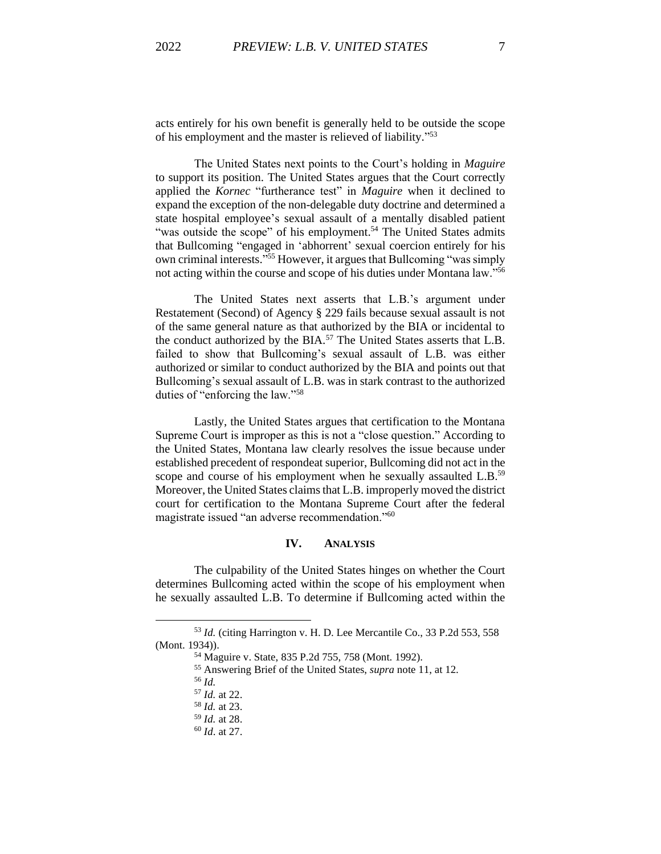acts entirely for his own benefit is generally held to be outside the scope of his employment and the master is relieved of liability." 53

The United States next points to the Court's holding in *Maguire* to support its position. The United States argues that the Court correctly applied the *Kornec* "furtherance test" in *Maguire* when it declined to expand the exception of the non-delegable duty doctrine and determined a state hospital employee's sexual assault of a mentally disabled patient "was outside the scope" of his employment.<sup>54</sup> The United States admits that Bullcoming "engaged in 'abhorrent' sexual coercion entirely for his own criminal interests."<sup>55</sup> However, it argues that Bullcoming "was simply not acting within the course and scope of his duties under Montana law."<sup>56</sup>

The United States next asserts that L.B.'s argument under Restatement (Second) of Agency § 229 fails because sexual assault is not of the same general nature as that authorized by the BIA or incidental to the conduct authorized by the BIA.<sup>57</sup> The United States asserts that L.B. failed to show that Bullcoming's sexual assault of L.B. was either authorized or similar to conduct authorized by the BIA and points out that Bullcoming's sexual assault of L.B. was in stark contrast to the authorized duties of "enforcing the law."<sup>58</sup>

Lastly, the United States argues that certification to the Montana Supreme Court is improper as this is not a "close question." According to the United States, Montana law clearly resolves the issue because under established precedent of respondeat superior, Bullcoming did not act in the scope and course of his employment when he sexually assaulted L.B.<sup>59</sup> Moreover, the United States claims that L.B. improperly moved the district court for certification to the Montana Supreme Court after the federal magistrate issued "an adverse recommendation."<sup>60</sup>

#### **IV. ANALYSIS**

The culpability of the United States hinges on whether the Court determines Bullcoming acted within the scope of his employment when he sexually assaulted L.B. To determine if Bullcoming acted within the

<sup>53</sup> *Id.* (citing Harrington v. H. D. Lee Mercantile Co., 33 P.2d 553, 558 (Mont. 1934)).

<sup>54</sup> Maguire v. State, 835 P.2d 755, 758 (Mont. 1992).

<sup>55</sup> Answering Brief of the United States, *supra* note 11, at 12.

<sup>56</sup> *Id.*

<sup>57</sup> *Id.* at 22.

<sup>58</sup> *Id.* at 23.

<sup>59</sup> *Id.* at 28.

<sup>60</sup> *Id*. at 27.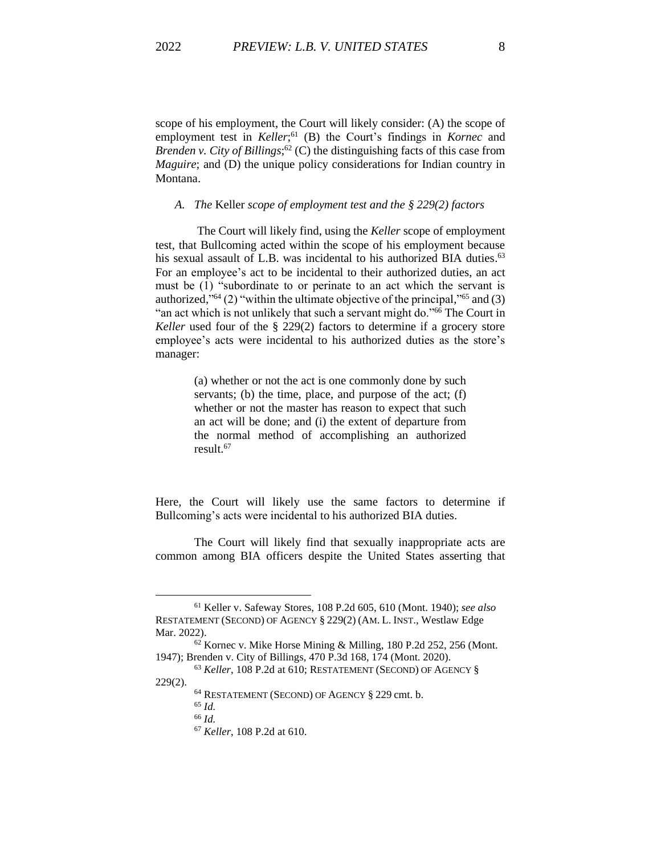scope of his employment, the Court will likely consider: (A) the scope of employment test in *Keller*<sup>61</sup> (B) the Court's findings in *Kornec* and *Brenden v. City of Billings*; <sup>62</sup> (C) the distinguishing facts of this case from *Maguire*; and (D) the unique policy considerations for Indian country in Montana.

#### *A. The* Keller *scope of employment test and the § 229(2) factors*

The Court will likely find, using the *Keller* scope of employment test, that Bullcoming acted within the scope of his employment because his sexual assault of L.B. was incidental to his authorized BIA duties.<sup>63</sup> For an employee's act to be incidental to their authorized duties, an act must be (1) "subordinate to or perinate to an act which the servant is authorized," <sup>64</sup> (2) "within the ultimate objective of the principal," <sup>65</sup> and (3) "an act which is not unlikely that such a servant might do."<sup>66</sup> The Court in *Keller* used four of the § 229(2) factors to determine if a grocery store employee's acts were incidental to his authorized duties as the store's manager:

> (a) whether or not the act is one commonly done by such servants; (b) the time, place, and purpose of the act; (f) whether or not the master has reason to expect that such an act will be done; and (i) the extent of departure from the normal method of accomplishing an authorized result.<sup>67</sup>

Here, the Court will likely use the same factors to determine if Bullcoming's acts were incidental to his authorized BIA duties.

The Court will likely find that sexually inappropriate acts are common among BIA officers despite the United States asserting that

<sup>61</sup> Keller v. Safeway Stores, 108 P.2d 605, 610 (Mont. 1940); *see also* RESTATEMENT (SECOND) OF AGENCY § 229(2) (AM. L. INST., Westlaw Edge Mar. 2022).

<sup>62</sup> Kornec v. Mike Horse Mining & Milling, 180 P.2d 252, 256 (Mont. 1947); Brenden v. City of Billings, 470 P.3d 168, 174 (Mont. 2020).

<sup>63</sup> *Keller*, 108 P.2d at 610; RESTATEMENT (SECOND) OF AGENCY § 229(2).

<sup>64</sup> RESTATEMENT (SECOND) OF AGENCY § 229 cmt. b.

<sup>65</sup> *Id.*

<sup>66</sup> *Id.*

<sup>67</sup> *Keller*, 108 P.2d at 610.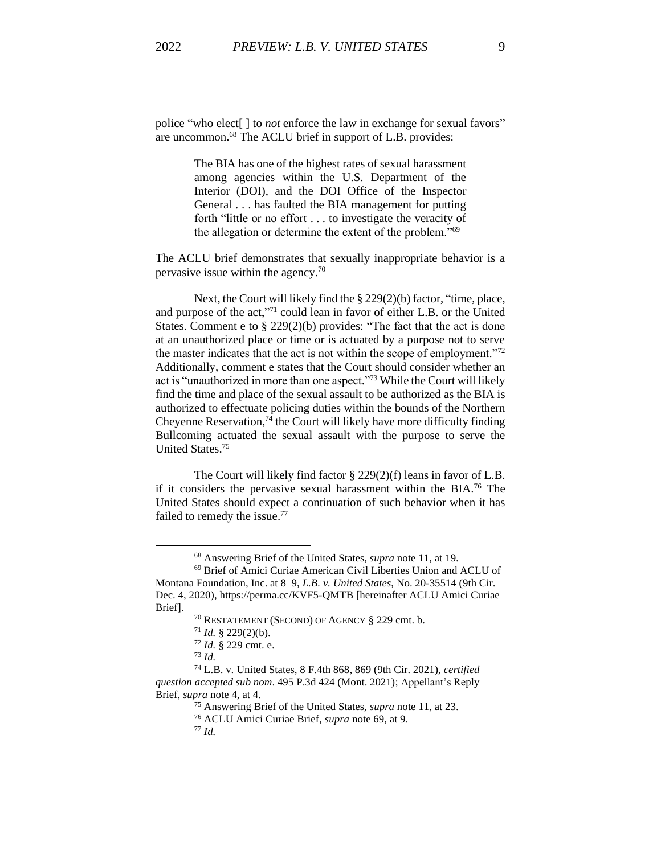police "who elect[ ] to *not* enforce the law in exchange for sexual favors" are uncommon. <sup>68</sup> The ACLU brief in support of L.B. provides:

> The BIA has one of the highest rates of sexual harassment among agencies within the U.S. Department of the Interior (DOI), and the DOI Office of the Inspector General . . . has faulted the BIA management for putting forth "little or no effort . . . to investigate the veracity of the allegation or determine the extent of the problem."<sup>69</sup>

The ACLU brief demonstrates that sexually inappropriate behavior is a pervasive issue within the agency.<sup>70</sup>

Next, the Court will likely find the § 229(2)(b) factor, "time, place, and purpose of the act,"<sup>71</sup> could lean in favor of either L.B. or the United States. Comment e to § 229(2)(b) provides: "The fact that the act is done at an unauthorized place or time or is actuated by a purpose not to serve the master indicates that the act is not within the scope of employment. $172$ Additionally, comment e states that the Court should consider whether an act is "unauthorized in more than one aspect." <sup>73</sup> While the Court will likely find the time and place of the sexual assault to be authorized as the BIA is authorized to effectuate policing duties within the bounds of the Northern Cheyenne Reservation,<sup>74</sup> the Court will likely have more difficulty finding Bullcoming actuated the sexual assault with the purpose to serve the United States. 75

The Court will likely find factor § 229(2)(f) leans in favor of L.B. if it considers the pervasive sexual harassment within the BIA. <sup>76</sup> The United States should expect a continuation of such behavior when it has failed to remedy the issue.<sup>77</sup>

<sup>68</sup> Answering Brief of the United States, *supra* note 11, at 19.

<sup>69</sup> Brief of Amici Curiae American Civil Liberties Union and ACLU of Montana Foundation, Inc. at 8–9, *L.B. v. United States*, No. 20-35514 (9th Cir. Dec. 4, 2020), https://perma.cc/KVF5-QMTB [hereinafter ACLU Amici Curiae Brief].

<sup>70</sup> RESTATEMENT (SECOND) OF AGENCY § 229 cmt. b.

<sup>71</sup> *Id.* § 229(2)(b).

<sup>72</sup> *Id.* § 229 cmt. e.

<sup>73</sup> *Id.*

<sup>74</sup> L.B. v*.* United States, 8 F.4th 868, 869 (9th Cir. 2021), *certified question accepted sub nom*. 495 P.3d 424 (Mont. 2021); Appellant's Reply Brief, *supra* note 4, at 4.

<sup>75</sup> Answering Brief of the United States, *supra* note 11, at 23.

<sup>76</sup> ACLU Amici Curiae Brief, *supra* note 69, at 9.

<sup>77</sup> *Id.*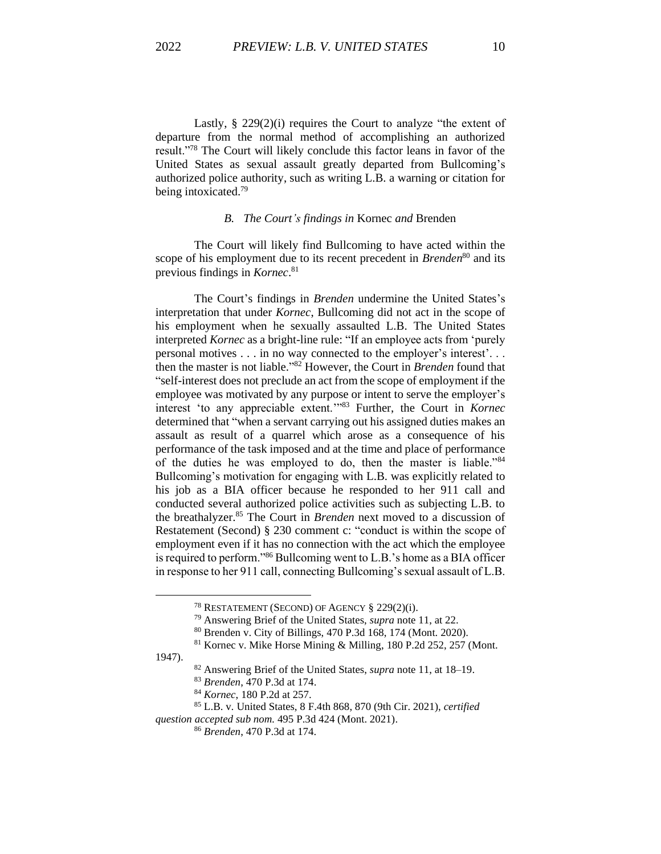Lastly, § 229(2)(i) requires the Court to analyze "the extent of departure from the normal method of accomplishing an authorized result."<sup>78</sup> The Court will likely conclude this factor leans in favor of the United States as sexual assault greatly departed from Bullcoming's authorized police authority, such as writing L.B. a warning or citation for being intoxicated.<sup>79</sup>

## *B. The Court's findings in* Kornec *and* Brenden

The Court will likely find Bullcoming to have acted within the scope of his employment due to its recent precedent in *Brenden*<sup>80</sup> and its previous findings in *Kornec*. 81

The Court's findings in *Brenden* undermine the United States's interpretation that under *Kornec*, Bullcoming did not act in the scope of his employment when he sexually assaulted L.B. The United States interpreted *Kornec* as a bright-line rule: "If an employee acts from 'purely personal motives . . . in no way connected to the employer's interest'. . . then the master is not liable." <sup>82</sup> However, the Court in *Brenden* found that "self-interest does not preclude an act from the scope of employment if the employee was motivated by any purpose or intent to serve the employer's interest 'to any appreciable extent.'" <sup>83</sup> Further, the Court in *Kornec*  determined that "when a servant carrying out his assigned duties makes an assault as result of a quarrel which arose as a consequence of his performance of the task imposed and at the time and place of performance of the duties he was employed to do, then the master is liable."<sup>84</sup> Bullcoming's motivation for engaging with L.B. was explicitly related to his job as a BIA officer because he responded to her 911 call and conducted several authorized police activities such as subjecting L.B. to the breathalyzer.<sup>85</sup> The Court in *Brenden* next moved to a discussion of Restatement (Second) § 230 comment c: "conduct is within the scope of employment even if it has no connection with the act which the employee is required to perform."<sup>86</sup> Bullcoming went to L.B.'s home as a BIA officer in response to her 911 call, connecting Bullcoming's sexual assault of L.B.

1947).

<sup>78</sup> RESTATEMENT (SECOND) OF AGENCY § 229(2)(i).

<sup>79</sup> Answering Brief of the United States, *supra* note 11, at 22.

<sup>80</sup> Brenden v. City of Billings, 470 P.3d 168, 174 (Mont. 2020).

<sup>81</sup> Kornec v. Mike Horse Mining & Milling, 180 P.2d 252, 257 (Mont.

<sup>82</sup> Answering Brief of the United States, *supra* note 11, at 18–19.

<sup>83</sup> *Brenden*, 470 P.3d at 174.

<sup>84</sup> *Kornec*, 180 P.2d at 257.

<sup>85</sup> L.B. v*.* United States, 8 F.4th 868, 870 (9th Cir. 2021), *certified*

*question accepted sub nom.* 495 P.3d 424 (Mont. 2021).

<sup>86</sup> *Brenden*, 470 P.3d at 174.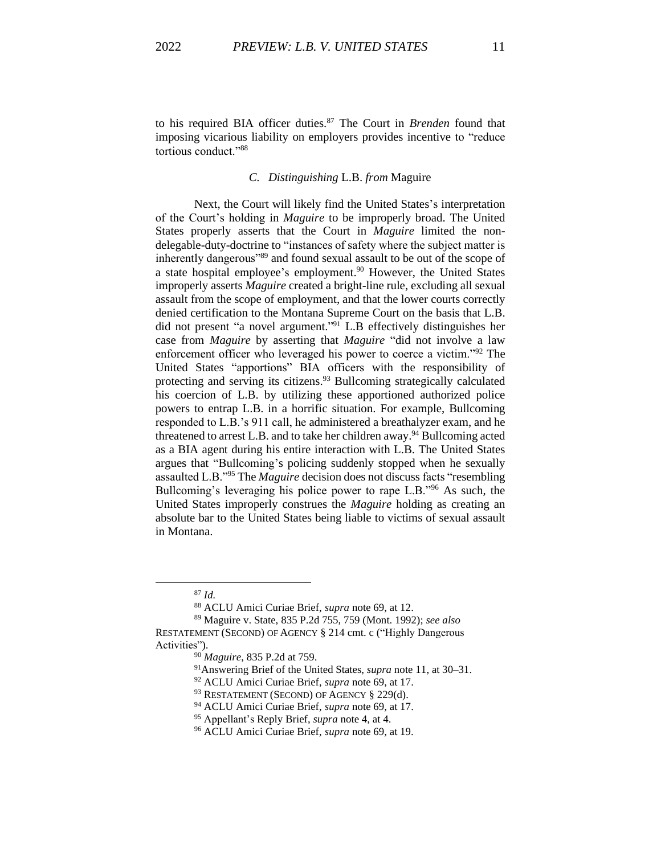to his required BIA officer duties.<sup>87</sup> The Court in *Brenden* found that imposing vicarious liability on employers provides incentive to "reduce tortious conduct."<sup>88</sup>

# *C. Distinguishing* L.B. *from* Maguire

Next, the Court will likely find the United States's interpretation of the Court's holding in *Maguire* to be improperly broad. The United States properly asserts that the Court in *Maguire* limited the nondelegable-duty-doctrine to "instances of safety where the subject matter is inherently dangerous"<sup>89</sup> and found sexual assault to be out of the scope of a state hospital employee's employment.<sup>90</sup> However, the United States improperly asserts *Maguire* created a bright-line rule, excluding all sexual assault from the scope of employment, and that the lower courts correctly denied certification to the Montana Supreme Court on the basis that L.B. did not present "a novel argument." <sup>91</sup> L.B effectively distinguishes her case from *Maguire* by asserting that *Maguire* "did not involve a law enforcement officer who leveraged his power to coerce a victim."<sup>92</sup> The United States "apportions" BIA officers with the responsibility of protecting and serving its citizens.<sup>93</sup> Bullcoming strategically calculated his coercion of L.B. by utilizing these apportioned authorized police powers to entrap L.B. in a horrific situation. For example, Bullcoming responded to L.B.'s 911 call, he administered a breathalyzer exam, and he threatened to arrest L.B. and to take her children away.<sup>94</sup> Bullcoming acted as a BIA agent during his entire interaction with L.B. The United States argues that "Bullcoming's policing suddenly stopped when he sexually assaulted L.B."<sup>95</sup> The *Maguire* decision does not discuss facts "resembling Bullcoming's leveraging his police power to rape L.B."<sup>96</sup> As such, the United States improperly construes the *Maguire* holding as creating an absolute bar to the United States being liable to victims of sexual assault in Montana.

<sup>87</sup> *Id.*

<sup>88</sup> ACLU Amici Curiae Brief, *supra* note 69, at 12.

<sup>89</sup> Maguire v. State, 835 P.2d 755, 759 (Mont. 1992); *see also* RESTATEMENT (SECOND) OF AGENCY § 214 cmt. c ("Highly Dangerous Activities").

<sup>90</sup> *Maguire*, 835 P.2d at 759.

<sup>91</sup>Answering Brief of the United States, *supra* note 11, at 30–31.

<sup>92</sup> ACLU Amici Curiae Brief, *supra* note 69, at 17.

<sup>&</sup>lt;sup>93</sup> RESTATEMENT (SECOND) OF AGENCY § 229(d).

<sup>94</sup> ACLU Amici Curiae Brief, *supra* note 69, at 17.

<sup>95</sup> Appellant's Reply Brief, *supra* note 4, at 4.

<sup>96</sup> ACLU Amici Curiae Brief, *supra* note 69, at 19.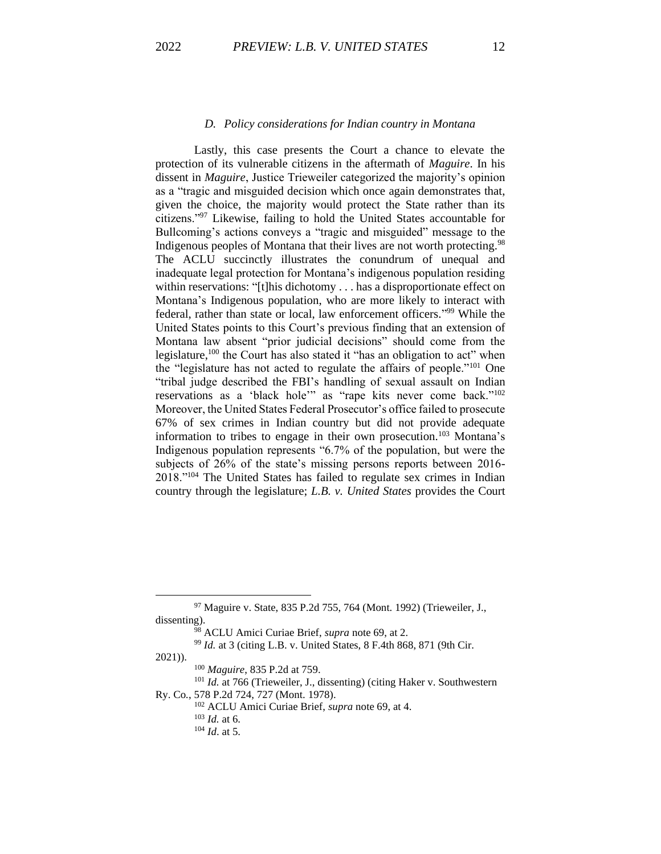#### *D. Policy considerations for Indian country in Montana*

Lastly, this case presents the Court a chance to elevate the protection of its vulnerable citizens in the aftermath of *Maguire*. In his dissent in *Maguire*, Justice Trieweiler categorized the majority's opinion as a "tragic and misguided decision which once again demonstrates that, given the choice, the majority would protect the State rather than its citizens."<sup>97</sup> Likewise, failing to hold the United States accountable for Bullcoming's actions conveys a "tragic and misguided" message to the Indigenous peoples of Montana that their lives are not worth protecting.<sup>98</sup> The ACLU succinctly illustrates the conundrum of unequal and inadequate legal protection for Montana's indigenous population residing within reservations: "[t]his dichotomy . . . has a disproportionate effect on Montana's Indigenous population, who are more likely to interact with federal, rather than state or local, law enforcement officers."<sup>99</sup> While the United States points to this Court's previous finding that an extension of Montana law absent "prior judicial decisions" should come from the legislature,<sup>100</sup> the Court has also stated it "has an obligation to act" when the "legislature has not acted to regulate the affairs of people."<sup>101</sup> One "tribal judge described the FBI's handling of sexual assault on Indian reservations as a 'black hole'" as "rape kits never come back."<sup>102</sup> Moreover, the United States Federal Prosecutor's office failed to prosecute 67% of sex crimes in Indian country but did not provide adequate information to tribes to engage in their own prosecution.<sup>103</sup> Montana's Indigenous population represents "6.7% of the population, but were the subjects of 26% of the state's missing persons reports between 2016- 2018."<sup>104</sup> The United States has failed to regulate sex crimes in Indian country through the legislature; *L.B. v. United States* provides the Court

2021)).

<sup>97</sup> Maguire v. State, 835 P.2d 755, 764 (Mont. 1992) (Trieweiler, J., dissenting).

<sup>98</sup> ACLU Amici Curiae Brief, *supra* note 69, at 2.

<sup>99</sup> *Id.* at 3 (citing L.B. v. United States, 8 F.4th 868, 871 (9th Cir.

<sup>100</sup> *Maguire*, 835 P.2d at 759.

<sup>&</sup>lt;sup>101</sup> *Id.* at 766 (Trieweiler, J., dissenting) (citing Haker v. Southwestern Ry. Co*.*, 578 P.2d 724, 727 (Mont. 1978).

<sup>102</sup> ACLU Amici Curiae Brief, *supra* note 69, at 4.

<sup>103</sup> *Id.* at 6.

<sup>104</sup> *Id*. at 5.